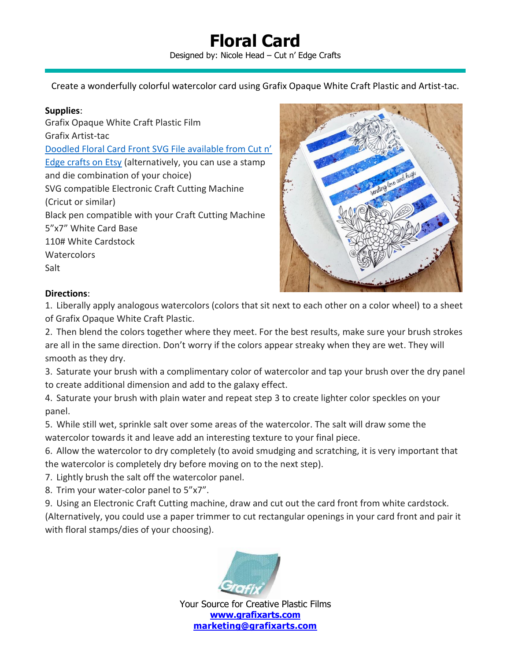## **Floral Card** Designed by: Nicole Head – Cut n' Edge Crafts

Create a wonderfully colorful watercolor card using Grafix Opaque White Craft Plastic and Artist-tac.

## **Supplies**:

Grafix Opaque White Craft Plastic Film Grafix Artist-tac [Doodled Floral Card Front SVG File available from Cut n'](https://www.etsy.com/listing/735685995/doodled-floral-spray-card-front-for)  [Edge crafts on Etsy](https://www.etsy.com/listing/735685995/doodled-floral-spray-card-front-for) (alternatively, you can use a stamp and die combination of your choice) SVG compatible Electronic Craft Cutting Machine (Cricut or similar) Black pen compatible with your Craft Cutting Machine 5"x7" White Card Base 110# White Cardstock **Watercolors** Salt



## **Directions**:

1. Liberally apply analogous watercolors (colors that sit next to each other on a color wheel) to a sheet of Grafix Opaque White Craft Plastic.

2. Then blend the colors together where they meet. For the best results, make sure your brush strokes are all in the same direction. Don't worry if the colors appear streaky when they are wet. They will smooth as they dry.

3. Saturate your brush with a complimentary color of watercolor and tap your brush over the dry panel to create additional dimension and add to the galaxy effect.

4. Saturate your brush with plain water and repeat step 3 to create lighter color speckles on your panel.

5. While still wet, sprinkle salt over some areas of the watercolor. The salt will draw some the watercolor towards it and leave add an interesting texture to your final piece.

6. Allow the watercolor to dry completely (to avoid smudging and scratching, it is very important that the watercolor is completely dry before moving on to the next step).

7. Lightly brush the salt off the watercolor panel.

8. Trim your water-color panel to 5"x7".

9. Using an Electronic Craft Cutting machine, draw and cut out the card front from white cardstock. (Alternatively, you could use a paper trimmer to cut rectangular openings in your card front and pair it with floral stamps/dies of your choosing).



Your Source for Creative Plastic Films **[www.grafixarts.com](http://www.grafixarts.com/) [marketing@grafixarts.com](mailto:marketing@grafixarts.com)**